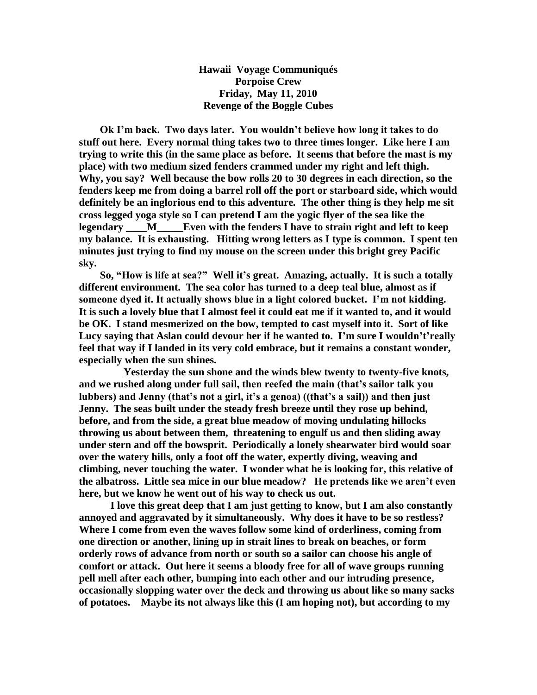**Hawaii Voyage Communiqués Porpoise Crew Friday, May 11, 2010 Revenge of the Boggle Cubes**

 **Ok I"m back. Two days later. You wouldn"t believe how long it takes to do stuff out here. Every normal thing takes two to three times longer. Like here I am trying to write this (in the same place as before. It seems that before the mast is my place) with two medium sized fenders crammed under my right and left thigh. Why, you say? Well because the bow rolls 20 to 30 degrees in each direction, so the fenders keep me from doing a barrel roll off the port or starboard side, which would definitely be an inglorious end to this adventure. The other thing is they help me sit cross legged yoga style so I can pretend I am the yogic flyer of the sea like the legendary \_\_\_\_M\_\_\_\_\_Even with the fenders I have to strain right and left to keep my balance. It is exhausting. Hitting wrong letters as I type is common. I spent ten minutes just trying to find my mouse on the screen under this bright grey Pacific sky.**

 **So, "How is life at sea?" Well it"s great. Amazing, actually. It is such a totally different environment. The sea color has turned to a deep teal blue, almost as if someone dyed it. It actually shows blue in a light colored bucket. I"m not kidding. It is such a lovely blue that I almost feel it could eat me if it wanted to, and it would be OK. I stand mesmerized on the bow, tempted to cast myself into it. Sort of like Lucy saying that Aslan could devour her if he wanted to. I"m sure I wouldn"t"really feel that way if I landed in its very cold embrace, but it remains a constant wonder, especially when the sun shines.** 

 **Yesterday the sun shone and the winds blew twenty to twenty-five knots, and we rushed along under full sail, then reefed the main (that"s sailor talk you lubbers) and Jenny (that"s not a girl, it"s a genoa) ((that"s a sail)) and then just Jenny. The seas built under the steady fresh breeze until they rose up behind, before, and from the side, a great blue meadow of moving undulating hillocks throwing us about between them, threatening to engulf us and then sliding away under stern and off the bowsprit. Periodically a lonely shearwater bird would soar over the watery hills, only a foot off the water, expertly diving, weaving and climbing, never touching the water. I wonder what he is looking for, this relative of the albatross. Little sea mice in our blue meadow? He pretends like we aren"t even here, but we know he went out of his way to check us out.** 

 **I love this great deep that I am just getting to know, but I am also constantly annoyed and aggravated by it simultaneously. Why does it have to be so restless? Where I come from even the waves follow some kind of orderliness, coming from one direction or another, lining up in strait lines to break on beaches, or form orderly rows of advance from north or south so a sailor can choose his angle of comfort or attack. Out here it seems a bloody free for all of wave groups running pell mell after each other, bumping into each other and our intruding presence, occasionally slopping water over the deck and throwing us about like so many sacks of potatoes. Maybe its not always like this (I am hoping not), but according to my**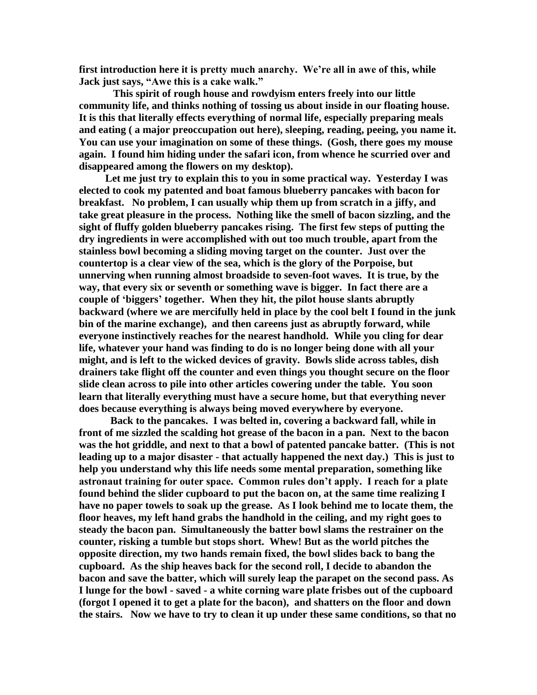**first introduction here it is pretty much anarchy. We"re all in awe of this, while Jack just says, "Awe this is a cake walk."**

 **This spirit of rough house and rowdyism enters freely into our little community life, and thinks nothing of tossing us about inside in our floating house. It is this that literally effects everything of normal life, especially preparing meals and eating ( a major preoccupation out here), sleeping, reading, peeing, you name it. You can use your imagination on some of these things. (Gosh, there goes my mouse again. I found him hiding under the safari icon, from whence he scurried over and disappeared among the flowers on my desktop).** 

 **Let me just try to explain this to you in some practical way. Yesterday I was elected to cook my patented and boat famous blueberry pancakes with bacon for breakfast. No problem, I can usually whip them up from scratch in a jiffy, and take great pleasure in the process. Nothing like the smell of bacon sizzling, and the sight of fluffy golden blueberry pancakes rising. The first few steps of putting the dry ingredients in were accomplished with out too much trouble, apart from the stainless bowl becoming a sliding moving target on the counter. Just over the countertop is a clear view of the sea, which is the glory of the Porpoise, but unnerving when running almost broadside to seven-foot waves. It is true, by the way, that every six or seventh or something wave is bigger. In fact there are a couple of "biggers" together. When they hit, the pilot house slants abruptly backward (where we are mercifully held in place by the cool belt I found in the junk bin of the marine exchange), and then careens just as abruptly forward, while everyone instinctively reaches for the nearest handhold. While you cling for dear life, whatever your hand was finding to do is no longer being done with all your might, and is left to the wicked devices of gravity. Bowls slide across tables, dish drainers take flight off the counter and even things you thought secure on the floor slide clean across to pile into other articles cowering under the table. You soon learn that literally everything must have a secure home, but that everything never does because everything is always being moved everywhere by everyone.** 

 **Back to the pancakes. I was belted in, covering a backward fall, while in front of me sizzled the scalding hot grease of the bacon in a pan. Next to the bacon was the hot griddle, and next to that a bowl of patented pancake batter. (This is not leading up to a major disaster - that actually happened the next day.) This is just to help you understand why this life needs some mental preparation, something like astronaut training for outer space. Common rules don"t apply. I reach for a plate found behind the slider cupboard to put the bacon on, at the same time realizing I have no paper towels to soak up the grease. As I look behind me to locate them, the floor heaves, my left hand grabs the handhold in the ceiling, and my right goes to steady the bacon pan. Simultaneously the batter bowl slams the restrainer on the counter, risking a tumble but stops short. Whew! But as the world pitches the opposite direction, my two hands remain fixed, the bowl slides back to bang the cupboard. As the ship heaves back for the second roll, I decide to abandon the bacon and save the batter, which will surely leap the parapet on the second pass. As I lunge for the bowl - saved - a white corning ware plate frisbes out of the cupboard (forgot I opened it to get a plate for the bacon), and shatters on the floor and down the stairs. Now we have to try to clean it up under these same conditions, so that no**